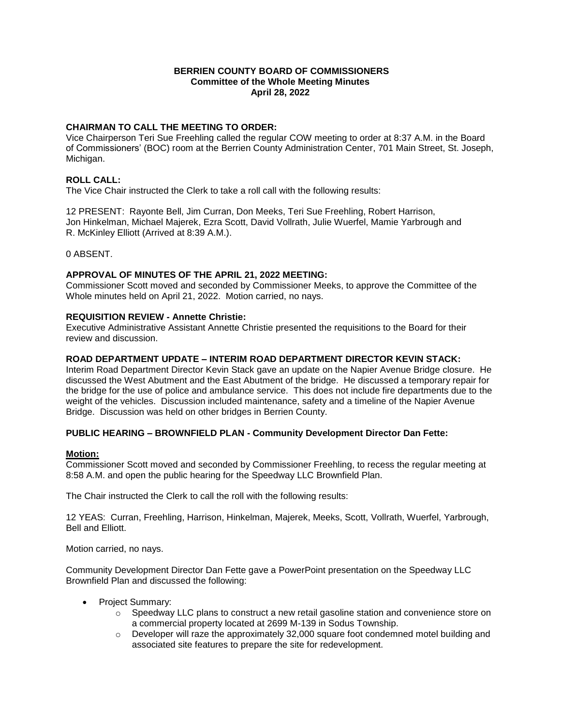### **BERRIEN COUNTY BOARD OF COMMISSIONERS Committee of the Whole Meeting Minutes April 28, 2022**

# **CHAIRMAN TO CALL THE MEETING TO ORDER:**

Vice Chairperson Teri Sue Freehling called the regular COW meeting to order at 8:37 A.M. in the Board of Commissioners' (BOC) room at the Berrien County Administration Center, 701 Main Street, St. Joseph, Michigan.

# **ROLL CALL:**

The Vice Chair instructed the Clerk to take a roll call with the following results:

12 PRESENT: Rayonte Bell, Jim Curran, Don Meeks, Teri Sue Freehling, Robert Harrison, Jon Hinkelman, Michael Majerek, Ezra Scott, David Vollrath, Julie Wuerfel, Mamie Yarbrough and R. McKinley Elliott (Arrived at 8:39 A.M.).

### 0 ABSENT.

### **APPROVAL OF MINUTES OF THE APRIL 21, 2022 MEETING:**

Commissioner Scott moved and seconded by Commissioner Meeks, to approve the Committee of the Whole minutes held on April 21, 2022. Motion carried, no nays.

### **REQUISITION REVIEW - Annette Christie:**

Executive Administrative Assistant Annette Christie presented the requisitions to the Board for their review and discussion.

### **ROAD DEPARTMENT UPDATE – INTERIM ROAD DEPARTMENT DIRECTOR KEVIN STACK:**

Interim Road Department Director Kevin Stack gave an update on the Napier Avenue Bridge closure. He discussed the West Abutment and the East Abutment of the bridge. He discussed a temporary repair for the bridge for the use of police and ambulance service. This does not include fire departments due to the weight of the vehicles. Discussion included maintenance, safety and a timeline of the Napier Avenue Bridge. Discussion was held on other bridges in Berrien County.

### **PUBLIC HEARING – BROWNFIELD PLAN - Community Development Director Dan Fette:**

### **Motion:**

Commissioner Scott moved and seconded by Commissioner Freehling, to recess the regular meeting at 8:58 A.M. and open the public hearing for the Speedway LLC Brownfield Plan.

The Chair instructed the Clerk to call the roll with the following results:

12 YEAS: Curran, Freehling, Harrison, Hinkelman, Majerek, Meeks, Scott, Vollrath, Wuerfel, Yarbrough, Bell and Elliott.

Motion carried, no nays.

Community Development Director Dan Fette gave a PowerPoint presentation on the Speedway LLC Brownfield Plan and discussed the following:

- Project Summary:
	- $\circ$  Speedway LLC plans to construct a new retail gasoline station and convenience store on a commercial property located at 2699 M-139 in Sodus Township.
	- $\circ$  Developer will raze the approximately 32,000 square foot condemned motel building and associated site features to prepare the site for redevelopment.